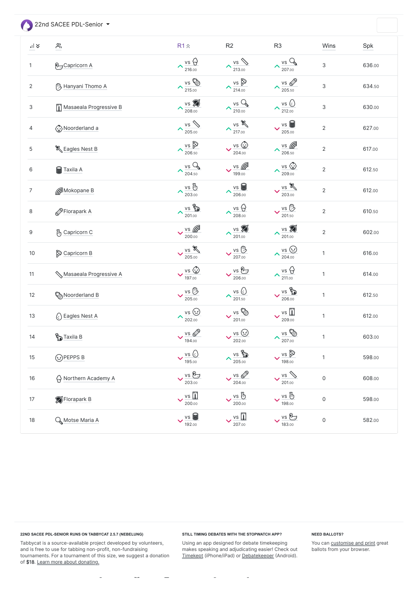22nd SACEE PDL-Senior

| $\frac{1}{2}$    | $\sum_{i=1}^{n}$                   | $R1 \hat{z}$                                | R2                                               | R <sub>3</sub>                                  | Wins                      | Spk    |
|------------------|------------------------------------|---------------------------------------------|--------------------------------------------------|-------------------------------------------------|---------------------------|--------|
| $\mathbf{1}$     | <b>P</b> <sub>J</sub> Capricorn A  | $vs \bigoplus$<br>$\sim$ 216.00             | $\lambda \frac{\text{vs}}{213.00}$               | $\frac{vs}{207.00}$<br>$\curvearrowright$       | $\ensuremath{\mathsf{3}}$ | 636.00 |
| $\mathbf{2}$     | <sup>(1</sup> ) Hanyani Thomo A    | VS EED<br>$\sim$ 215.00                     | $\frac{vs}{214.00}$                              | $\frac{\sqrt{5}}{205.50}$<br>$\curvearrowright$ | $\ensuremath{\mathsf{3}}$ | 634.50 |
| 3                | Masaeala Progressive B             | $vs \ 8$<br>$\sim$ 208.00                   | $\lambda \frac{vs}{210.00}$                      | $\frac{\nu s}{212.00}$<br>$\curvearrowright$    | $\ensuremath{\mathsf{3}}$ | 630.00 |
| 4                | Noorderland a                      | vs &<br>$\sim$ 205.00                       | $\lambda \frac{vs}{217.00}$                      | vs<br>205.00                                    | $\sqrt{2}$                | 627.00 |
| $\mathbf 5$      | & Eagles Nest B                    | $vs \odot$<br>$\sim$ 206.50                 | $\frac{vs}{204.00}$                              | $\frac{\sqrt{5}}{206.50}$<br>$\blacktriangle$   | $\overline{2}$            | 617.00 |
| $\,6$            | Taxila A                           | vsQ<br>$\sim$ 204.50                        | $\frac{v s}{199.00}$                             | $\frac{\sqrt{5}}{209.00}$<br>$\blacktriangle$   | $\sqrt{2}$                | 612.50 |
| $\overline{7}$   | Mokopane B                         | vs &<br>$\sim$ 203.00                       | $\lambda \frac{\text{vs}}{206.00}$               | vs<br>203.00                                    | $\overline{2}$            | 612.00 |
| 8                | Florapark A                        | <b>VS</b><br>$\sim$ 201.00                  | $\lambda_{\frac{\text{VS}}{208.00}}^{\text{vs}}$ | $vs \bigoplus$<br>201.50                        | $\sqrt{2}$                | 610.50 |
| $\boldsymbol{9}$ | 例 Capricorn C                      | $\vee$ vs $\mathbb{Z}$<br>200.00            | $\lambda \frac{\text{vs}}{201.00}$               | $\lambda \frac{\text{vs}}{201.00}$              | $\sqrt{2}$                | 602.00 |
| $10$             | Capricorn B                        | vs<br>205.00                                | $vs \bigoplus$<br>207.00                         | $vs$ $\odot$<br>$\curvearrowright$<br>204.00    | $\mathbf{1}$              | 616.00 |
| 11               | Masaeala Progressive A             | $\vee$ vs $\odot$<br>197.00                 | $\frac{vs}{206.00}$                              | $\lambda \frac{\text{vs}}{211.00}$              | $\mathbf{1}$              | 614.00 |
| 12               | <b>Can</b> Noorderland B           | $\vee$ vs $\overline{\mathbb{D}}$<br>205.00 | $\lambda \frac{\text{vs C.}}{\text{201.50}}$     | VS ED<br>206.00                                 | $\mathbf{1}$              | 612.50 |
| 13               | $\left(\cdot\right)$ Eagles Nest A | vs<br>$\sim$ 202.00                         | $\frac{v s}{201.00}$                             | $\frac{vs}{209.00}$                             | $\mathbf{1}$              | 612.00 |
| 14               | <b>Research Control</b>            | $\vee$ vs $\oslash$<br>194.00               | $\frac{vs}{202.00}$                              | vs @<br>$\sim$ 207.00                           | $\mathbf{1}$              | 603.00 |
| 15               | <b><u>⊙</u>PEPPS</b> B             | $\vee$ vs $\odot$<br>195.00                 | $\lambda \frac{\text{vs}}{205.00}$               | vs D<br>198.00                                  | $\mathbf{1}$              | 598.00 |
| 16               | A Northern Academy A               | $\vee$ vs $\cancel{v}$<br>203.00            | $\frac{vs}{204.00}$                              | $V$ is $\gg$<br>201.00                          | $\mathsf O$               | 608.00 |
| $17\,$           | Florapark B                        | $\vee$ $\frac{\text{vs}}{200.00}$           | $\vee$ vs $\%$<br>200.00                         | vs &<br>$\checkmark$<br>198.00                  | $\mathsf O$               | 598.00 |
| $18$             | <b>Q</b> Motse Maria A             | $\vee$ vs $\bigcirc$<br>192.00              | $\frac{\sqrt{10}}{207.00}$                       | vs 2<br>183.00                                  | $\mathsf O$               | 582.00 |

Tabbycat is a source-available project developed by volunteers, and is free to use for tabbing non-profit, non-fundraising tournaments. For a tournament of this size, we suggest a donation of \$18. [Learn more about donating.](https://saceepolokwane.herokuapp.com/22nd-SACEE-PDL-Sr/donations/)

 $\bar{\phantom{a}}$ 

 $\sim$ 

 $\equiv$ 

Using an app designed for debate timekeeping makes speaking and adjudicating easier! Check out [Timekept](https://itunes.apple.com/app/apple-store/id1156065589?pt=814172&ct=Tabbycat%20Installs&mt=8) (iPhone/iPad) or [Debatekeeper](https://play.google.com/store/apps/details?id=net.czlee.debatekeeper&referrer=utm_source%3Dtabbycat%26utm_medium%3Dfooter) (Android).

 $\overline{\phantom{a}}$ 

# **22ND SACEE PDL-SENIOR RUNS ON TABBYCAT 2.5.7 (NEBELUNG)**

# **STILL TIMING DEBATES WITH THE STOPWATCH APP?**

 $\bar{\phantom{a}}$ 

# **NEED BALLOTS?**

You can **customise and print** great ballots from your browser.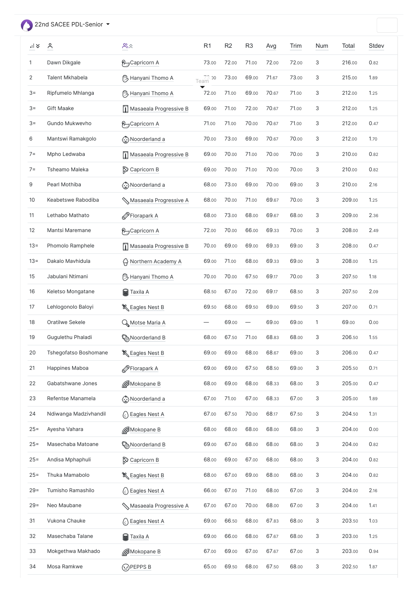# <span id="page-1-0"></span>22nd SACEE PDL-Senior

| $    \times$   | $\sum_{i=1}^{n}$      | $\mathop{\mathrm{S}}\nolimits\hat{\sim}$ | R <sub>1</sub>         | R <sub>2</sub> | R <sub>3</sub>           | Avg   | Trim  | <b>Num</b>                | Total  | <b>Stdev</b> |
|----------------|-----------------------|------------------------------------------|------------------------|----------------|--------------------------|-------|-------|---------------------------|--------|--------------|
| 1              | Dawn Dikgale          | <b>P</b> <sub>J</sub> Capricorn A        | 73.00                  | 72.00          | 71.00                    | 72.00 | 72.00 | 3                         | 216.00 | 0.82         |
| $\overline{2}$ | Talent Mkhabela       | <sup>(11</sup> ) Hanyani Thomo A         | Team <sup>.73.00</sup> | 73.00          | 69.00                    | 71.67 | 73.00 | 3                         | 215.00 | 1.89         |
| $3 =$          | Ripfumelo Mhlanga     | <sup>(11</sup> ) Hanyani Thomo A         | 72.00                  | 71.00          | 69.00                    | 70.67 | 71.00 | 3                         | 212.00 | 1.25         |
| $3 =$          | <b>Gift Maake</b>     | Masaeala Progressive B                   | 69.00                  | 71.00          | 72.00                    | 70.67 | 71.00 | 3                         | 212.00 | 1.25         |
| $3 =$          | Gundo Mukwevho        | <b>P</b> <sub>J</sub> Capricorn A        | 71.00                  | 71.00          | 70.00                    | 70.67 | 71.00 | 3                         | 212.00 | 0.47         |
| 6              | Mantswi Ramakgolo     | Noorderland a                            | 70.00                  | 73.00          | 69.00                    | 70.67 | 70.00 | 3                         | 212.00 | 1.70         |
| $7 =$          | Mpho Ledwaba          | Masaeala Progressive B                   | 69.00                  | 70.00          | 71.00                    | 70.00 | 70.00 | 3                         | 210.00 | 0.82         |
| $7 =$          | Tsheamo Maleka        | Capricorn B                              | 69.00                  | 70.00          | 71.00                    | 70.00 | 70.00 | 3                         | 210.00 | 0.82         |
| 9              | Pearl Mothiba         | Noorderland a                            | 68.00                  | 73.00          | 69.00                    | 70.00 | 69.00 | 3                         | 210.00 | 2.16         |
| 10             | Keabetswe Rabodiba    | Masaeala Progressive A                   | 68.00                  | 70.00          | 71.00                    | 69.67 | 70.00 | 3                         | 209.00 | 1.25         |
| 11             | Lethabo Mathato       | Florapark A                              | 68.00                  | 73.00          | 68.00                    | 69.67 | 68.00 | $\ensuremath{\mathsf{3}}$ | 209.00 | 2.36         |
| 12             | Mantsi Maremane       | <b>P</b> <sub>J</sub> Capricorn A        | 72.00                  | 70.00          | 66.00                    | 69.33 | 70.00 | 3                         | 208.00 | 2.49         |
| $13 =$         | Phomolo Ramphele      | Masaeala Progressive B                   | 70.00                  | 69.00          | 69.00                    | 69.33 | 69.00 | 3                         | 208.00 | 0.47         |
| $13 =$         | Dakalo Mavhidula      | A Northern Academy A                     | 69.00                  | 71.00          | 68.00                    | 69.33 | 69.00 | 3                         | 208.00 | 1.25         |
| 15             | Jabulani Ntimani      | <b><sup>1</sup>}</b> Hanyani Thomo A     | 70.00                  | 70.00          | 67.50                    | 69.17 | 70.00 | 3                         | 207.50 | 1.18         |
| 16             | Keletso Mongatane     | <b>S</b> Taxila A                        | 68.50                  | 67.00          | 72.00                    | 69.17 | 68.50 | 3                         | 207.50 | 2.09         |
| 17             | Lehlogonolo Baloyi    | & Eagles Nest B                          | 69.50                  | 68.00          | 69.50                    | 69.00 | 69.50 | 3                         | 207.00 | 0.71         |
| 18             | Oratilwe Sekele       | Q Motse Maria A                          |                        | 69.00          | $\overline{\phantom{m}}$ | 69.00 | 69.00 | $\mathbf{1}$              | 69.00  | 0.00         |
| 19             | Gugulethu Phaladi     | ြို့ Noorderland B                       | 68.00                  | 67.50          | 71.00                    | 68.83 | 68.00 | $\ensuremath{\mathsf{3}}$ | 206.50 | 1.55         |
| 20             | Tshegofatso Boshomane | & Eagles Nest B                          | 69.00                  | 69.00          | 68.00                    | 68.67 | 69.00 | $\ensuremath{\mathsf{3}}$ | 206.00 | 0.47         |
| 21             | Happines Maboa        | Florapark A                              | 69.00                  | 69.00          | 67.50                    | 68.50 | 69.00 | 3                         | 205.50 | 0.71         |
| 22             | Gabatshwane Jones     | Mokopane B                               | 68.00                  | 69.00          | 68.00                    | 68.33 | 68.00 | 3                         | 205.00 | 0.47         |
| 23             | Refentse Manamela     | Noorderland a                            | 67.00                  | 71.00          | 67.00                    | 68.33 | 67.00 | 3                         | 205.00 | 1.89         |
| 24             | Ndiwanga Madzivhandil | $\left(\cdot\right)$ Eagles Nest A       | 67.00                  | 67.50          | 70.00                    | 68.17 | 67.50 | 3                         | 204.50 | 1.31         |
| $25 =$         | Ayesha Vahara         | Mokopane B                               | 68.00                  | 68.00          | 68.00                    | 68.00 | 68.00 | 3                         | 204.00 | 0.00         |
| $25 =$         | Masechaba Matoane     | <u>ြို့သ</u> Noorderland B               | 69.00                  | 67.00          | 68.00                    | 68.00 | 68.00 | 3                         | 204.00 | 0.82         |

| wz |  |  |  |  |
|----|--|--|--|--|
|    |  |  |  |  |

| $25 =$ | Andisa Mphaphuli  | Capricorn B                                      | 68.00 | 69.00 | 67.00 | 68.00 | 68.00 | 3 | 204.00 | 0.82 |
|--------|-------------------|--------------------------------------------------|-------|-------|-------|-------|-------|---|--------|------|
| $25 =$ | Thuka Mamabolo    | & Eagles Nest B                                  | 68.00 | 67.00 | 69.00 | 68.00 | 68.00 | 3 | 204.00 | 0.82 |
| $29 =$ | Tumisho Ramashilo | $\left\langle \cdot \right\rangle$ Eagles Nest A | 66.00 | 67.00 | 71.00 | 68.00 | 67.00 | 3 | 204.00 | 2.16 |
| $29 =$ | Neo Maubane       | Masaeala Progressive A                           | 67.00 | 67.00 | 70.00 | 68.00 | 67.00 | 3 | 204.00 | 1.41 |
| 31     | Vukona Chauke     | $\left(\cdot\right)$ Eagles Nest A               | 69.00 | 66.50 | 68.00 | 67.83 | 68.00 | 3 | 203.50 | 1.03 |
| 32     | Masechaba Talane  | <b>S</b> Taxila A                                | 69.00 | 66.00 | 68.00 | 67.67 | 68.00 | 3 | 203.00 | 1.25 |
| 33     | Mokgethwa Makhado | Mokopane B                                       | 67.00 | 69.00 | 67.00 | 67.67 | 67.00 | 3 | 203.00 | 0.94 |
| 34     | Mosa Ramkwe       | $\Omega$ PEPPS B                                 | 65.00 | 69.50 | 68.00 | 67.50 | 68.00 | 3 | 202.50 | 1.87 |